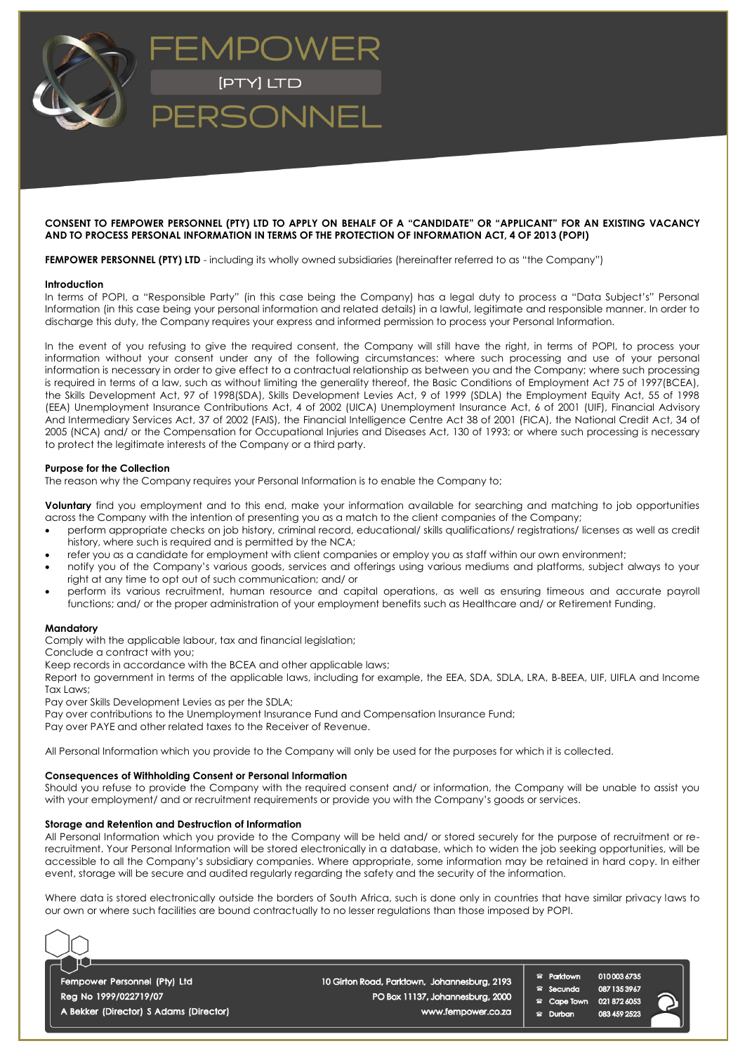

### **CONSENT TO FEMPOWER PERSONNEL (PTY) LTD TO APPLY ON BEHALF OF A "CANDIDATE" OR "APPLICANT" FOR AN EXISTING VACANCY AND TO PROCESS PERSONAL INFORMATION IN TERMS OF THE PROTECTION OF INFORMATION ACT, 4 OF 2013 (POPI)**

**FEMPOWER PERSONNEL (PTY) LTD** - including its wholly owned subsidiaries (hereinafter referred to as "the Company")

#### **Introduction**

In terms of POPI, a "Responsible Party" (in this case being the Company) has a legal duty to process a "Data Subject's" Personal Information (in this case being your personal information and related details) in a lawful, legitimate and responsible manner. In order to discharge this duty, the Company requires your express and informed permission to process your Personal Information.

In the event of you refusing to give the required consent, the Company will still have the right, in terms of POPI, to process your information without your consent under any of the following circumstances: where such processing and use of your personal information is necessary in order to give effect to a contractual relationship as between you and the Company; where such processing is required in terms of a law, such as without limiting the generality thereof, the Basic Conditions of Employment Act 75 of 1997(BCEA), the Skills Development Act, 97 of 1998(SDA), Skills Development Levies Act, 9 of 1999 (SDLA) the Employment Equity Act, 55 of 1998 (EEA) Unemployment Insurance Contributions Act, 4 of 2002 (UICA) Unemployment Insurance Act, 6 of 2001 (UIF), Financial Advisory And Intermediary Services Act, 37 of 2002 (FAIS), the Financial Intelligence Centre Act 38 of 2001 (FICA), the National Credit Act, 34 of 2005 (NCA) and/ or the Compensation for Occupational Injuries and Diseases Act, 130 of 1993; or where such processing is necessary to protect the legitimate interests of the Company or a third party.

#### **Purpose for the Collection**

The reason why the Company requires your Personal Information is to enable the Company to;

**Voluntary** find you employment and to this end, make your information available for searching and matching to job opportunities across the Company with the intention of presenting you as a match to the client companies of the Company;

- perform appropriate checks on job history, criminal record, educational/ skills qualifications/ registrations/ licenses as well as credit history, where such is required and is permitted by the NCA;
- refer you as a candidate for employment with client companies or employ you as staff within our own environment;
- notify you of the Company's various goods, services and offerings using various mediums and platforms, subject always to your right at any time to opt out of such communication; and/ or
- perform its various recruitment, human resource and capital operations, as well as ensuring timeous and accurate payroll functions; and/ or the proper administration of your employment benefits such as Healthcare and/ or Retirement Funding.

#### **Mandatory**

Comply with the applicable labour, tax and financial legislation;

Conclude a contract with you;

Keep records in accordance with the BCEA and other applicable laws;

Report to government in terms of the applicable laws, including for example, the EEA, SDA, SDLA, LRA, B-BEEA, UIF, UIFLA and Income Tax Laws;

Pay over Skills Development Levies as per the SDLA;

Pay over contributions to the Unemployment Insurance Fund and Compensation Insurance Fund;

Pay over PAYE and other related taxes to the Receiver of Revenue.

All Personal Information which you provide to the Company will only be used for the purposes for which it is collected.

### **Consequences of Withholding Consent or Personal Information**

Should you refuse to provide the Company with the required consent and/ or information, the Company will be unable to assist you with your employment/ and or recruitment requirements or provide you with the Company's goods or services.

#### **Storage and Retention and Destruction of Information**

All Personal Information which you provide to the Company will be held and/ or stored securely for the purpose of recruitment or rerecruitment. Your Personal Information will be stored electronically in a database, which to widen the job seeking opportunities, will be accessible to all the Company's subsidiary companies. Where appropriate, some information may be retained in hard copy. In either event, storage will be secure and audited regularly regarding the safety and the security of the information.

Where data is stored electronically outside the borders of South Africa, such is done only in countries that have similar privacy laws to our own or where such facilities are bound contractually to no lesser regulations than those imposed by POPI.



Fempower Personnel (Pty) Ltd Reg No 1999/022719/07 A Bekker (Director) S Adams (Director) 10 Girton Road, Parktown, Johannesburg, 2193 PO Box 11137, Johannesburg, 2000

www.fempower.co.za

Parktown  $\mathbf{r}$ Secunda Cape Town a Durban



0100036735

0871353967

0218726053

083 459 2523